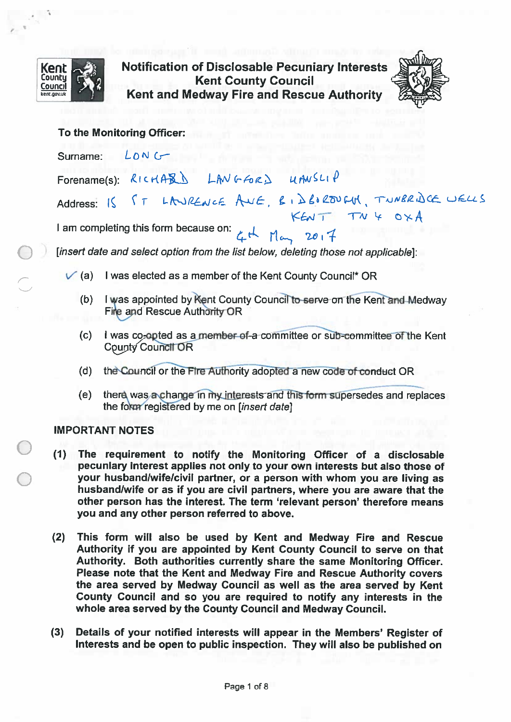

**Notification of Disclosable Pecuniary Interests Kent County Council** Kent and Medway Fire and Rescue Authority



## To the Monitoring Officer:

 $L_{\text{ON}}$ Surname: Forename(s): RICHARD LANGFORD UANSLIP Address: IS ST LANRENCE AVE, EIDBORDIN, TUNKRISCE WELLS I am completing this form because on:  $4\pi$  May 2017

[insert date and select option from the list below, deleting those not applicable]:

- $\sqrt{a}$  (a) I was elected as a member of the Kent County Council\* OR
	- (b) I was appointed by Kent County Council to serve on the Kent and Medway Fire and Rescue Authority OR
	- I was co-opted as a member of a committee or sub-committee of the Kent  $(c)$ County Council OR
	- $(d)$ the Council or the Fire Authority adopted a new code of conduct OR
	- $(e)$ there was a change in my interests and this form supersedes and replaces the form registered by me on [insert date]

## **IMPORTANT NOTES**

- (1) The requirement to notify the Monitoring Officer of a disclosable pecuniary interest applies not only to your own interests but also those of your husband/wife/civil partner, or a person with whom you are living as husband/wife or as if you are civil partners, where you are aware that the other person has the interest. The term 'relevant person' therefore means you and any other person referred to above.
- $(2)$ This form will also be used by Kent and Medway Fire and Rescue Authority if you are appointed by Kent County Council to serve on that Authority. Both authorities currently share the same Monitoring Officer. Please note that the Kent and Medway Fire and Rescue Authority covers the area served by Medway Council as well as the area served by Kent County Council and so you are required to notify any interests in the whole area served by the County Council and Medway Council.
- $(3)$ Details of your notified interests will appear in the Members' Register of Interests and be open to public inspection. They will also be published on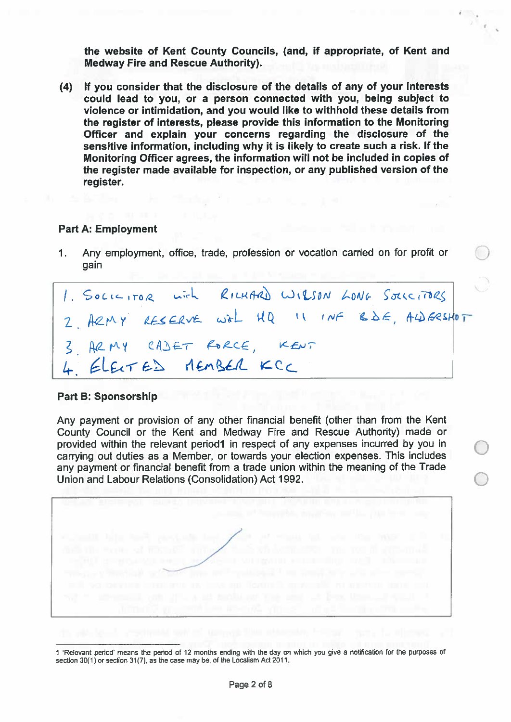the website of Kent County Councils, (and, if appropriate, of Kent and **Medway Fire and Rescue Authority).** 

(4) If you consider that the disclosure of the details of any of your interests could lead to you, or a person connected with you, being subject to violence or intimidation, and you would like to withhold these details from the register of interests, please provide this information to the Monitoring Officer and explain your concerns regarding the disclosure of the sensitive information, including why it is likely to create such a risk. If the Monitoring Officer agrees, the information will not be included in copies of the register made available for inspection, or any published version of the register.

#### **Part A: Employment**

Any employment, office, trade, profession or vocation carried on for profit or  $\mathbf 1$ . gain

|                          |  |  |  | 1. SOLICITOR with RICHARD WIRSON LONG SOLICITORS |  |
|--------------------------|--|--|--|--------------------------------------------------|--|
|                          |  |  |  | 2. ARMY RESERVE with HQ II INF BDE, ALDERSHOT    |  |
| 3 ARMY CADET RORCE, KENT |  |  |  |                                                  |  |
| 4 ELECTED MEMBER KCC     |  |  |  |                                                  |  |

#### **Part B: Sponsorship**

Any payment or provision of any other financial benefit (other than from the Kent County Council or the Kent and Medway Fire and Rescue Authority) made or provided within the relevant period1 in respect of any expenses incurred by you in carrying out duties as a Member, or towards your election expenses. This includes any payment or financial benefit from a trade union within the meaning of the Trade Union and Labour Relations (Consolidation) Act 1992.



<sup>1 &#</sup>x27;Relevant period' means the period of 12 months ending with the day on which you give a notification for the purposes of section 30(1) or section 31(7), as the case may be, of the Localism Act 2011.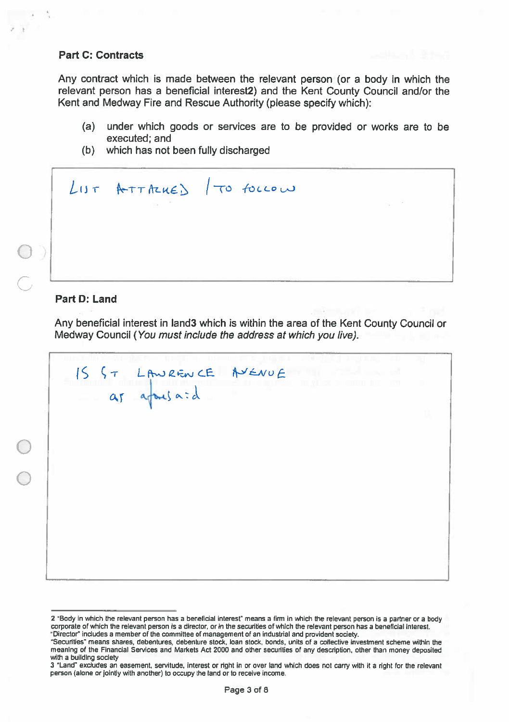## **Part C: Contracts**

Any contract which is made between the relevant person (or a body in which the relevant person has a beneficial interest2) and the Kent County Council and/or the Kent and Medway Fire and Rescue Authority (please specify which):

- $(a)$ under which goods or services are to be provided or works are to be executed; and
- (b) which has not been fully discharged

|  | LIST ATTACHED / TO FOLLOW |  |  |
|--|---------------------------|--|--|
|  |                           |  |  |
|  |                           |  |  |

# Part D: Land

Any beneficial interest in land3 which is within the area of the Kent County Council or Medway Council (You must include the address at which you live).

15 ST LAWRENCE AVENUE

<sup>2 &</sup>quot;Body in which the relevant person has a beneficial interest" means a firm in which the relevant person is a partner or a body corporate of which the relevant person is a director, or in the securities of which the relevant person has a beneficial interest. "Director" includes a member of the committee of management of an industrial and provident society.

<sup>&</sup>quot;Securities" means shares, debentures, debenture stock, loan stock, bonds, units of a collective investment scheme within the meaning of the Financial Services and Markets Act 2000 and other securities of any description, other than money deposited with a building society

<sup>3 &</sup>quot;Land" excludes an easement, servitude, interest or right in or over land which does not carry with it a right for the relevant person (alone or jointly with another) to occupy the land or to receive income.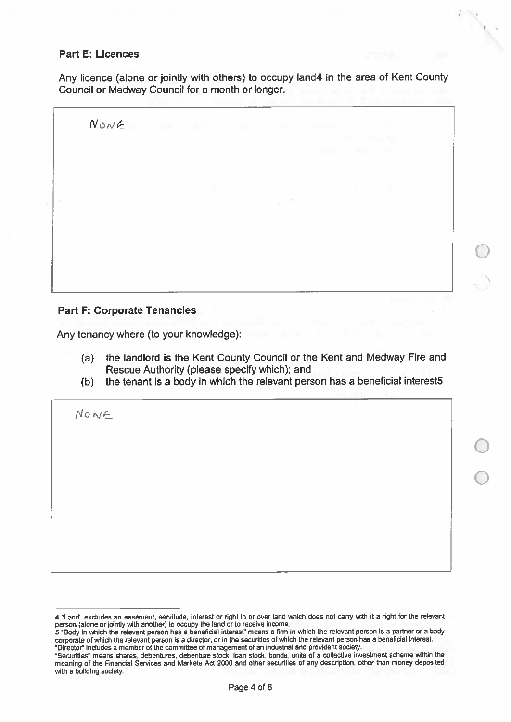# **Part E: Licences**

Any licence (alone or jointly with others) to occupy land4 in the area of Kent County Council or Medway Council for a month or longer.

 $NowE$ 

# **Part F: Corporate Tenancies**

Any tenancy where (to your knowledge):

- (a) the landlord is the Kent County Council or the Kent and Medway Fire and Rescue Authority (please specify which); and
- the tenant is a body in which the relevant person has a beneficial interest5  $(b)$

NONF

<sup>4 &</sup>quot;Land" excludes an easement, servitude, interest or right in or over land which does not carry with it a right for the relevant person (alone or jointly with another) to occupy the land or to receive income.

<sup>5 &</sup>quot;Body in which the relevant person has a beneficial interest" means a firm in which the relevant person is a partner or a body corporate of which the relevant person is a director, or in the securities of which the relevant person has a beneficial interest. "Director" includes a member of the committee of management of an industrial and provident society.

<sup>&</sup>quot;Securities" means shares, debentures, debenture stock, loan stock, bonds, units of a collective investment scheme within the meaning of the Financial Services and Markets Act 2000 and other securities of any description, other than money deposited with a building society.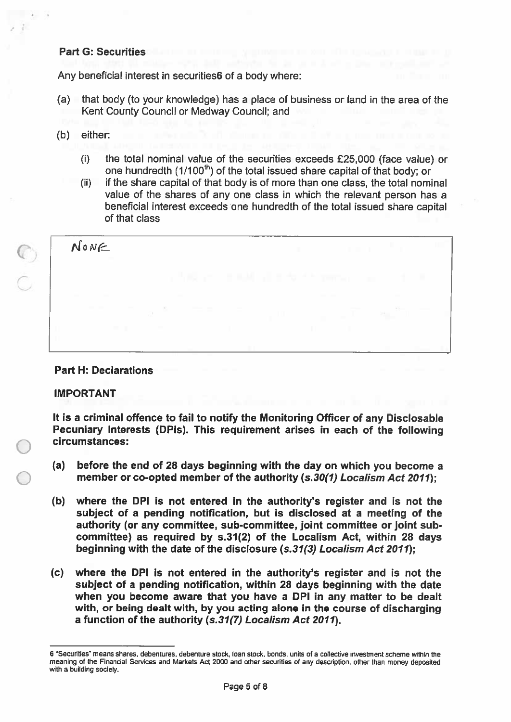## **Part G: Securities**

Any beneficial interest in securities6 of a body where:

- (a) that body (to your knowledge) has a place of business or land in the area of the Kent County Council or Medway Council; and
- $(b)$ either:
	- the total nominal value of the securities exceeds £25,000 (face value) or  $(i)$ one hundredth (1/100<sup>th</sup>) of the total issued share capital of that body; or
	- if the share capital of that body is of more than one class, the total nominal  $(ii)$ value of the shares of any one class in which the relevant person has a beneficial interest exceeds one hundredth of the total issued share capital of that class

NONE

## **Part H: Declarations**

## **IMPORTANT**

It is a criminal offence to fail to notify the Monitoring Officer of any Disclosable Pecuniary Interests (DPIs). This requirement arises in each of the following circumstances:

- $(a)$ before the end of 28 days beginning with the day on which you become a member or co-opted member of the authority (s.30(1) Localism Act 2011);
- where the DPI is not entered in the authority's register and is not the  $(b)$ subject of a pending notification, but is disclosed at a meeting of the authority (or any committee, sub-committee, joint committee or joint subcommittee) as required by s.31(2) of the Localism Act, within 28 days beginning with the date of the disclosure (s.31(3) Localism Act 2011):
- $(c)$ where the DPI is not entered in the authority's register and is not the subject of a pending notification, within 28 days beginning with the date when you become aware that you have a DPI in any matter to be dealt with, or being dealt with, by you acting alone in the course of discharging a function of the authority (s.31(7) Localism Act 2011).

<sup>6 &</sup>quot;Securities" means shares, debentures, debenture stock, loan stock, bonds, units of a collective investment scheme within the meaning of the Financial Services and Markets Act 2000 and other securities of any description, other than money deposited with a building society.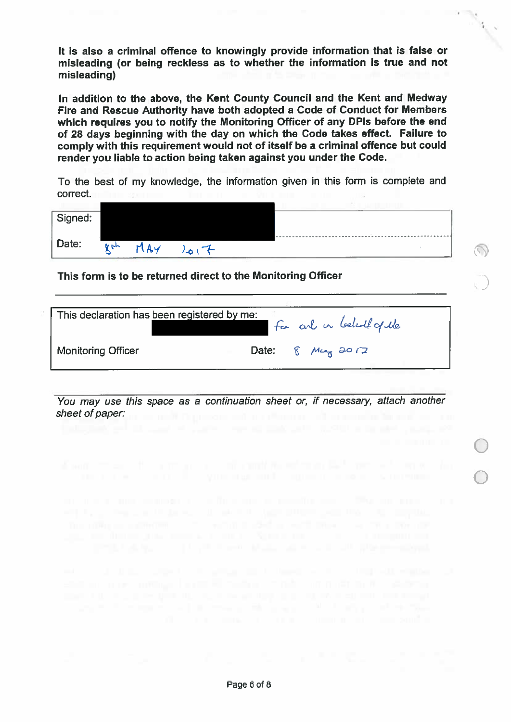It is also a criminal offence to knowingly provide information that is false or misleading (or being reckless as to whether the information is true and not misleading)

In addition to the above, the Kent County Council and the Kent and Medway Fire and Rescue Authority have both adopted a Code of Conduct for Members which requires you to notify the Monitoring Officer of any DPIs before the end of 28 days beginning with the day on which the Code takes effect. Failure to comply with this requirement would not of itself be a criminal offence but could render you liable to action being taken against you under the Code.

To the best of my knowledge, the information given in this form is complete and correct.

| Signed: |     |               |  |  |  |  |
|---------|-----|---------------|--|--|--|--|
| Date:   | ひトト | $\mathcal{L}$ |  |  |  |  |
|         |     | $-01$         |  |  |  |  |

This form is to be returned direct to the Monitoring Officer

| This declaration has been registered by me: | For and on behalf of the |
|---------------------------------------------|--------------------------|
| <b>Monitoring Officer</b>                   | Date: $8 M \sim 20.72$   |

You may use this space as a continuation sheet or, if necessary, attach another sheet of paper: the contract of paper: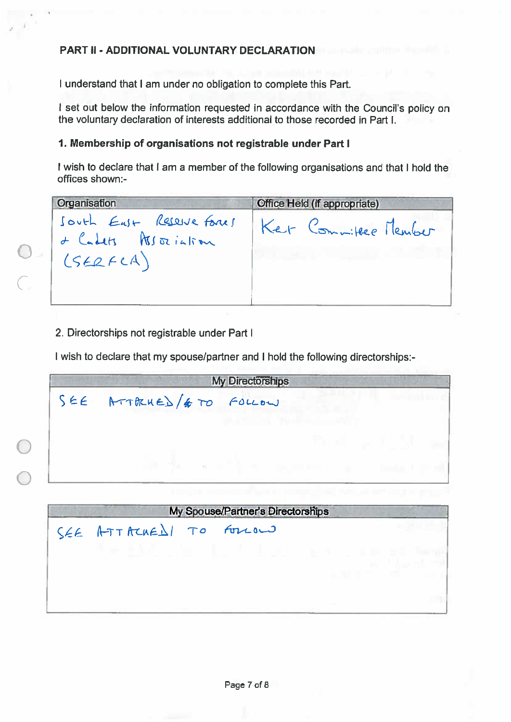# PART II - ADDITIONAL VOLUNTARY DECLARATION

I understand that I am under no obligation to complete this Part.

I set out below the information requested in accordance with the Council's policy on the voluntary declaration of interests additional to those recorded in Part I.

## 1. Membership of organisations not registrable under Part I

I wish to declare that I am a member of the following organisations and that I hold the offices shown:-

| Office Held (if appropriate) |
|------------------------------|
| Ker Committee Member         |
|                              |

2. Directorships not registrable under Part I

I wish to declare that my spouse/partner and I hold the following directorships:-

|           |                         | <b>My Directorships</b>           |                   |  |
|-----------|-------------------------|-----------------------------------|-------------------|--|
| $S \in E$ | ATTRUED / # TO          | FOLLOW                            |                   |  |
|           |                         |                                   |                   |  |
|           |                         |                                   | an sa s           |  |
|           |                         | The South                         | <b>CONTRACTOR</b> |  |
|           |                         |                                   |                   |  |
|           |                         | My Spouse/Partner's Directorships |                   |  |
|           | SEE ATTACHEDI TO FOLLOW |                                   |                   |  |
|           |                         |                                   |                   |  |
|           |                         |                                   |                   |  |
|           |                         |                                   |                   |  |
|           |                         |                                   |                   |  |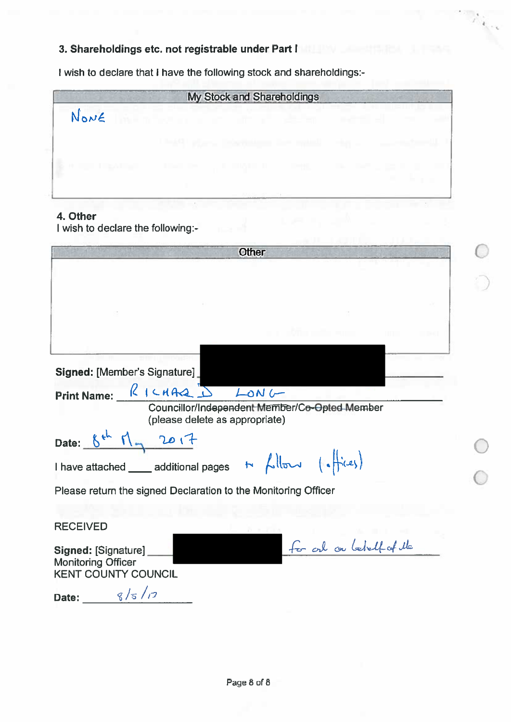# 3. Shareholdings etc. not registrable under Part I

I wish to declare that I have the following stock and shareholdings:-

|                                                 | My Stock and Shareholdings |  |
|-------------------------------------------------|----------------------------|--|
| NonE                                            |                            |  |
|                                                 |                            |  |
| the annual contract of the contract of the con- |                            |  |

 $\ell_{\gamma}$  .

# 4. Other

I wish to declare the following:-

| Other                                                                                                                                                                                                                                                                                                                                                                                                                                                 |
|-------------------------------------------------------------------------------------------------------------------------------------------------------------------------------------------------------------------------------------------------------------------------------------------------------------------------------------------------------------------------------------------------------------------------------------------------------|
|                                                                                                                                                                                                                                                                                                                                                                                                                                                       |
|                                                                                                                                                                                                                                                                                                                                                                                                                                                       |
|                                                                                                                                                                                                                                                                                                                                                                                                                                                       |
|                                                                                                                                                                                                                                                                                                                                                                                                                                                       |
| Signed: [Member's Signature]                                                                                                                                                                                                                                                                                                                                                                                                                          |
| Print Name: RICHARD<br>LON                                                                                                                                                                                                                                                                                                                                                                                                                            |
| Councillor/Independent Member/Co-Opted Member<br>(please delete as appropriate)                                                                                                                                                                                                                                                                                                                                                                       |
| 2017<br>Date:                                                                                                                                                                                                                                                                                                                                                                                                                                         |
| I have attached _____ additional pages $\rightarrow$ $\leftarrow$ $\leftarrow$ $\leftarrow$ $\leftarrow$ $\leftarrow$ $\leftarrow$ $\leftarrow$ $\leftarrow$ $\leftarrow$ $\leftarrow$ $\leftarrow$ $\leftarrow$ $\leftarrow$ $\leftarrow$ $\leftarrow$ $\leftarrow$ $\leftarrow$ $\leftarrow$ $\leftarrow$ $\leftarrow$ $\leftarrow$ $\leftarrow$ $\leftarrow$ $\leftarrow$ $\leftarrow$ $\leftarrow$ $\leftarrow$ $\leftarrow$ $\leftarrow$ $\left$ |
| Please return the signed Declaration to the Monitoring Officer                                                                                                                                                                                                                                                                                                                                                                                        |
|                                                                                                                                                                                                                                                                                                                                                                                                                                                       |
| <b>RECEIVED</b>                                                                                                                                                                                                                                                                                                                                                                                                                                       |
| for and on behalf of the<br>Signed: [Signature]<br><b>Monitoring Officer</b><br><b>KENT COUNTY COUNCIL</b>                                                                                                                                                                                                                                                                                                                                            |
| 8/5/7<br>Date:                                                                                                                                                                                                                                                                                                                                                                                                                                        |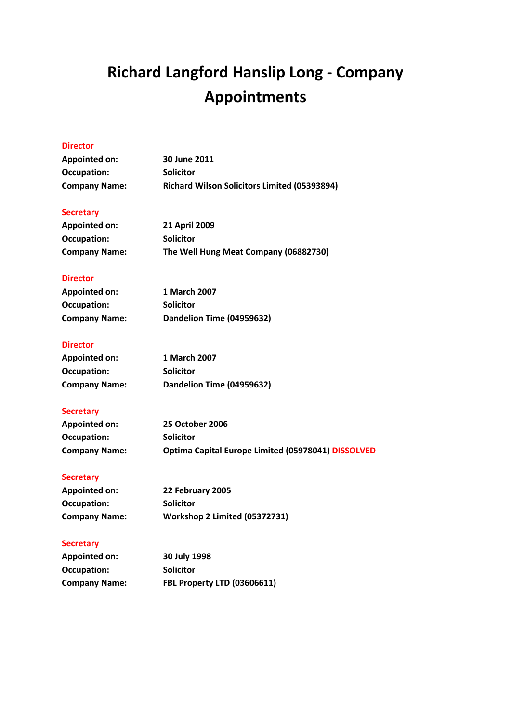# **Richard Langford Hanslip Long - Company Appointments**

## **Director**

| <b>Appointed on:</b> | 30 June 2011                                        |
|----------------------|-----------------------------------------------------|
| Occupation:          | <b>Solicitor</b>                                    |
| <b>Company Name:</b> | <b>Richard Wilson Solicitors Limited (05393894)</b> |

### **Secretary**

| <b>Appointed on:</b> | <b>21 April 2009</b>                  |
|----------------------|---------------------------------------|
| Occupation:          | <b>Solicitor</b>                      |
| <b>Company Name:</b> | The Well Hung Meat Company (06882730) |

## **Director**

| <b>Appointed on:</b> | 1 March 2007              |
|----------------------|---------------------------|
| Occupation:          | <b>Solicitor</b>          |
| <b>Company Name:</b> | Dandelion Time (04959632) |

## **Director**

| <b>Appointed on:</b> | 1 March 2007              |
|----------------------|---------------------------|
| Occupation:          | <b>Solicitor</b>          |
| <b>Company Name:</b> | Dandelion Time (04959632) |

# **Secretary**

| <b>Appointed on:</b> | <b>25 October 2006</b>                             |
|----------------------|----------------------------------------------------|
| Occupation:          | <b>Solicitor</b>                                   |
| <b>Company Name:</b> | Optima Capital Europe Limited (05978041) DISSOLVED |

#### **Secretary**

| <b>Appointed on:</b> | 22 February 2005              |
|----------------------|-------------------------------|
| Occupation:          | <b>Solicitor</b>              |
| <b>Company Name:</b> | Workshop 2 Limited (05372731) |

| <b>Appointed on:</b> | 30 July 1998                       |
|----------------------|------------------------------------|
| Occupation:          | <b>Solicitor</b>                   |
| <b>Company Name:</b> | <b>FBL Property LTD (03606611)</b> |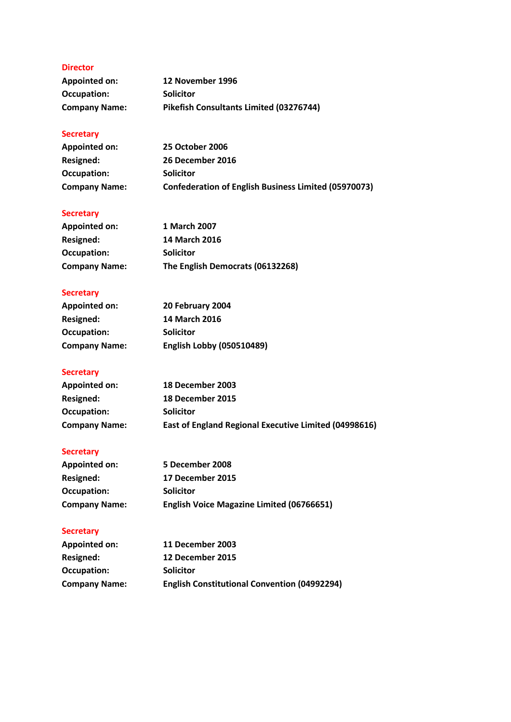#### **Director**

| <b>Appointed on:</b> | 12 November 1996                        |
|----------------------|-----------------------------------------|
| Occupation:          | <b>Solicitor</b>                        |
| <b>Company Name:</b> | Pikefish Consultants Limited (03276744) |

# **Secretary**

| <b>Appointed on:</b> | <b>25 October 2006</b>                                      |
|----------------------|-------------------------------------------------------------|
| Resigned:            | 26 December 2016                                            |
| Occupation:          | <b>Solicitor</b>                                            |
| <b>Company Name:</b> | <b>Confederation of English Business Limited (05970073)</b> |

# **Secretary**

| <b>Appointed on:</b> | 1 March 2007                     |
|----------------------|----------------------------------|
| Resigned:            | <b>14 March 2016</b>             |
| Occupation:          | <b>Solicitor</b>                 |
| <b>Company Name:</b> | The English Democrats (06132268) |

# **Secretary**

| <b>Appointed on:</b> | 20 February 2004                 |
|----------------------|----------------------------------|
| Resigned:            | <b>14 March 2016</b>             |
| Occupation:          | <b>Solicitor</b>                 |
| <b>Company Name:</b> | <b>English Lobby (050510489)</b> |

# **Secretary**

| <b>Appointed on:</b> | 18 December 2003                                      |
|----------------------|-------------------------------------------------------|
| <b>Resigned:</b>     | 18 December 2015                                      |
| Occupation:          | <b>Solicitor</b>                                      |
| <b>Company Name:</b> | East of England Regional Executive Limited (04998616) |

# **Secretary**

| <b>Appointed on:</b> | 5 December 2008                                  |
|----------------------|--------------------------------------------------|
| <b>Resigned:</b>     | 17 December 2015                                 |
| Occupation:          | <b>Solicitor</b>                                 |
| <b>Company Name:</b> | <b>English Voice Magazine Limited (06766651)</b> |

| <b>Appointed on:</b> | 11 December 2003                                    |
|----------------------|-----------------------------------------------------|
| Resigned:            | 12 December 2015                                    |
| Occupation:          | <b>Solicitor</b>                                    |
| <b>Company Name:</b> | <b>English Constitutional Convention (04992294)</b> |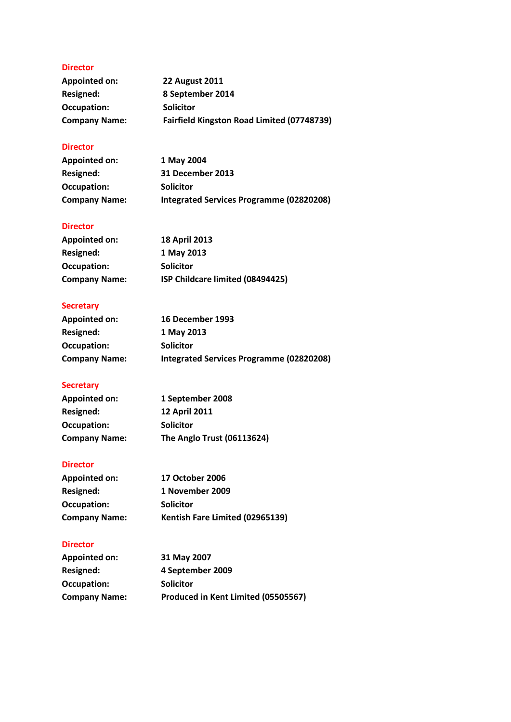#### **Director**

| <b>Appointed on:</b> | <b>22 August 2011</b>                      |
|----------------------|--------------------------------------------|
| Resigned:            | 8 September 2014                           |
| Occupation:          | <b>Solicitor</b>                           |
| <b>Company Name:</b> | Fairfield Kingston Road Limited (07748739) |

## **Director**

| Appointed on:        | 1 May 2004                               |
|----------------------|------------------------------------------|
| Resigned:            | 31 December 2013                         |
| Occupation:          | <b>Solicitor</b>                         |
| <b>Company Name:</b> | Integrated Services Programme (02820208) |

## **Director**

| <b>Appointed on:</b> | <b>18 April 2013</b>             |
|----------------------|----------------------------------|
| Resigned:            | 1 May 2013                       |
| Occupation:          | <b>Solicitor</b>                 |
| <b>Company Name:</b> | ISP Childcare limited (08494425) |

# **Secretary**

| <b>Appointed on:</b> | <b>16 December 1993</b>                  |
|----------------------|------------------------------------------|
| Resigned:            | 1 May 2013                               |
| Occupation:          | <b>Solicitor</b>                         |
| <b>Company Name:</b> | Integrated Services Programme (02820208) |

#### **Secretary**

| <b>Appointed on:</b> | 1 September 2008           |
|----------------------|----------------------------|
| Resigned:            | <b>12 April 2011</b>       |
| Occupation:          | <b>Solicitor</b>           |
| <b>Company Name:</b> | The Anglo Trust (06113624) |

## **Director**

| <b>Appointed on:</b> | <b>17 October 2006</b>          |
|----------------------|---------------------------------|
| Resigned:            | 1 November 2009                 |
| Occupation:          | <b>Solicitor</b>                |
| <b>Company Name:</b> | Kentish Fare Limited (02965139) |

#### **Director**

| <b>Appointed on:</b> | 31 May 2007                         |
|----------------------|-------------------------------------|
| Resigned:            | 4 September 2009                    |
| Occupation:          | <b>Solicitor</b>                    |
| <b>Company Name:</b> | Produced in Kent Limited (05505567) |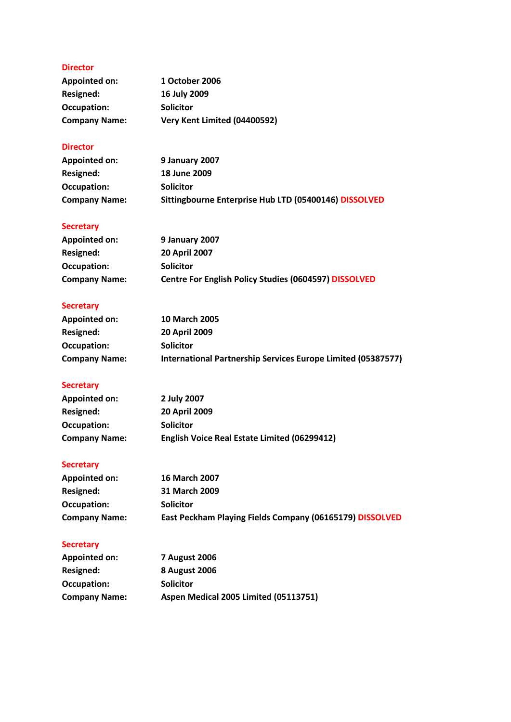## **Director**

| Appointed on:        | 1 October 2006               |
|----------------------|------------------------------|
| Resigned:            | 16 July 2009                 |
| Occupation:          | <b>Solicitor</b>             |
| <b>Company Name:</b> | Very Kent Limited (04400592) |

## **Director**

| <b>Appointed on:</b> | 9 January 2007                                        |
|----------------------|-------------------------------------------------------|
| Resigned:            | 18 June 2009                                          |
| Occupation:          | <b>Solicitor</b>                                      |
| <b>Company Name:</b> | Sittingbourne Enterprise Hub LTD (05400146) DISSOLVED |

# **Secretary**

| Appointed on:        | <b>9 January 2007</b>                                        |
|----------------------|--------------------------------------------------------------|
| Resigned:            | <b>20 April 2007</b>                                         |
| Occupation:          | <b>Solicitor</b>                                             |
| <b>Company Name:</b> | <b>Centre For English Policy Studies (0604597) DISSOLVED</b> |

# **Secretary**

| Appointed on:        | <b>10 March 2005</b>                                         |
|----------------------|--------------------------------------------------------------|
| <b>Resigned:</b>     | <b>20 April 2009</b>                                         |
| Occupation:          | <b>Solicitor</b>                                             |
| <b>Company Name:</b> | International Partnership Services Europe Limited (05387577) |

# **Secretary**

| <b>Appointed on:</b> | 2 July 2007                                         |
|----------------------|-----------------------------------------------------|
| Resigned:            | <b>20 April 2009</b>                                |
| Occupation:          | <b>Solicitor</b>                                    |
| <b>Company Name:</b> | <b>English Voice Real Estate Limited (06299412)</b> |

## **Secretary**

| Appointed on:        | <b>16 March 2007</b>                                     |
|----------------------|----------------------------------------------------------|
| Resigned:            | 31 March 2009                                            |
| Occupation:          | <b>Solicitor</b>                                         |
| <b>Company Name:</b> | East Peckham Playing Fields Company (06165179) DISSOLVED |

| <b>Appointed on:</b> | <b>7 August 2006</b>                  |
|----------------------|---------------------------------------|
| Resigned:            | <b>8 August 2006</b>                  |
| Occupation:          | <b>Solicitor</b>                      |
| <b>Company Name:</b> | Aspen Medical 2005 Limited (05113751) |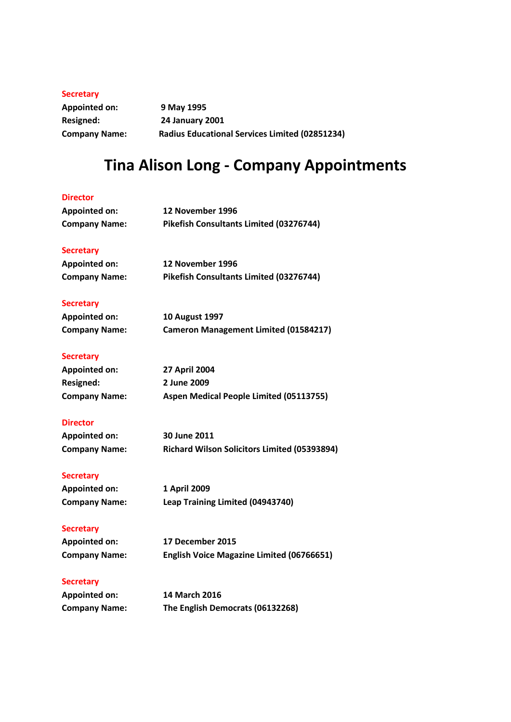#### **Secretary**

**Appointed on: 9 May 1995 Resigned: 24 January 2001 Company Name: Radius Educational Services Limited (02851234)**

# **Tina Alison Long - Company Appointments**

#### **Director**

| <b>Appointed on:</b> | 12 November 1996                        |
|----------------------|-----------------------------------------|
| <b>Company Name:</b> | Pikefish Consultants Limited (03276744) |
|                      |                                         |
| <b>Secretary</b>     |                                         |
| Appointed on:        | 12 November 1996                        |
| <b>Company Name:</b> | Pikefish Consultants Limited (03276744) |
| Secretary            |                                         |

#### **Secretary**

| <b>Appointed on:</b> | <b>10 August 1997</b>                        |
|----------------------|----------------------------------------------|
| <b>Company Name:</b> | <b>Cameron Management Limited (01584217)</b> |

#### **Secretary**

| Appointed on:        | <b>27 April 2004</b>                    |
|----------------------|-----------------------------------------|
| Resigned:            | 2 June 2009                             |
| <b>Company Name:</b> | Aspen Medical People Limited (05113755) |

#### **Director**

| <b>Appointed on:</b> | 30 June 2011                                        |
|----------------------|-----------------------------------------------------|
| <b>Company Name:</b> | <b>Richard Wilson Solicitors Limited (05393894)</b> |

#### **Secretary**

| <b>Appointed on:</b> | 1 April 2009                     |
|----------------------|----------------------------------|
| Company Name:        | Leap Training Limited (04943740) |

#### **Secretary**

| Appointed on: | 17 December 2015                                 |
|---------------|--------------------------------------------------|
| Company Name: | <b>English Voice Magazine Limited (06766651)</b> |

| <b>Appointed on:</b> | <b>14 March 2016</b>             |
|----------------------|----------------------------------|
| <b>Company Name:</b> | The English Democrats (06132268) |